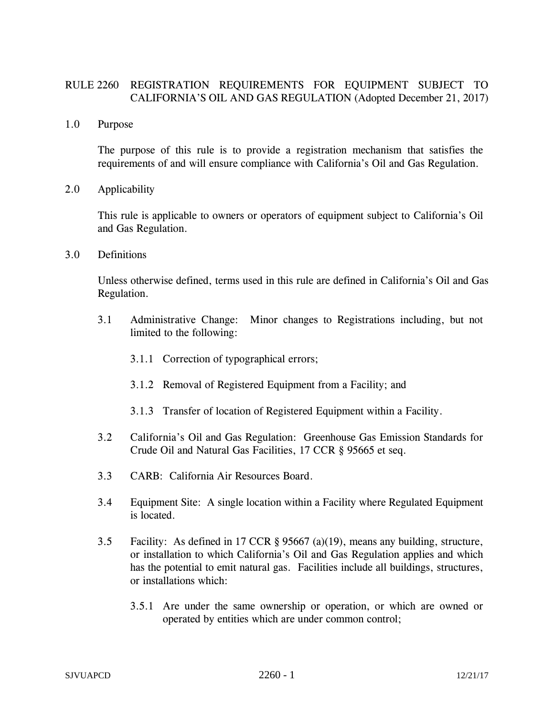## RULE 2260 REGISTRATION REQUIREMENTS FOR EQUIPMENT SUBJECT TO CALIFORNIA'S OIL AND GAS REGULATION (Adopted December 21, 2017)

1.0 Purpose

The purpose of this rule is to provide a registration mechanism that satisfies the requirements of and will ensure compliance with California's Oil and Gas Regulation.

2.0 Applicability

This rule is applicable to owners or operators of equipment subject to California's Oil and Gas Regulation.

3.0 Definitions

Unless otherwise defined, terms used in this rule are defined in California's Oil and Gas Regulation.

- 3.1 Administrative Change: Minor changes to Registrations including, but not limited to the following:
	- 3.1.1 Correction of typographical errors;
	- 3.1.2 Removal of Registered Equipment from a Facility; and
	- 3.1.3 Transfer of location of Registered Equipment within a Facility.
- 3.2 California's Oil and Gas Regulation: Greenhouse Gas Emission Standards for Crude Oil and Natural Gas Facilities, 17 CCR § 95665 et seq.
- 3.3 CARB: California Air Resources Board.
- 3.4 Equipment Site: A single location within a Facility where Regulated Equipment is located.
- 3.5 Facility: As defined in 17 CCR § 95667 (a)(19), means any building, structure, or installation to which California's Oil and Gas Regulation applies and which has the potential to emit natural gas. Facilities include all buildings, structures, or installations which:
	- 3.5.1 Are under the same ownership or operation, or which are owned or operated by entities which are under common control;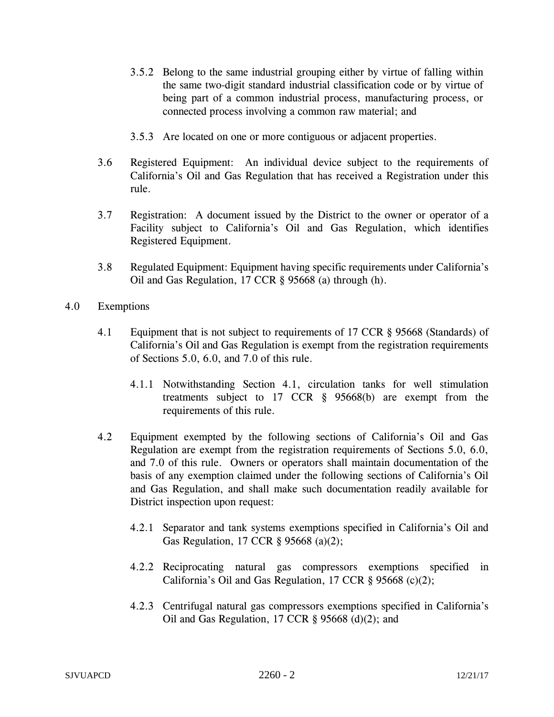- 3.5.2 Belong to the same industrial grouping either by virtue of falling within the same two-digit standard industrial classification code or by virtue of being part of a common industrial process, manufacturing process, or connected process involving a common raw material; and
- 3.5.3 Are located on one or more contiguous or adjacent properties.
- 3.6 Registered Equipment: An individual device subject to the requirements of California's Oil and Gas Regulation that has received a Registration under this rule.
- 3.7 Registration: A document issued by the District to the owner or operator of a Facility subject to California's Oil and Gas Regulation, which identifies Registered Equipment.
- 3.8 Regulated Equipment: Equipment having specific requirements under California's Oil and Gas Regulation, 17 CCR § 95668 (a) through (h).
- 4.0 Exemptions
	- 4.1 Equipment that is not subject to requirements of 17 CCR § 95668 (Standards) of California's Oil and Gas Regulation is exempt from the registration requirements of Sections 5.0, 6.0, and 7.0 of this rule.
		- 4.1.1 Notwithstanding Section 4.1, circulation tanks for well stimulation treatments subject to 17 CCR § 95668(b) are exempt from the requirements of this rule.
	- 4.2 Equipment exempted by the following sections of California's Oil and Gas Regulation are exempt from the registration requirements of Sections 5.0, 6.0, and 7.0 of this rule. Owners or operators shall maintain documentation of the basis of any exemption claimed under the following sections of California's Oil and Gas Regulation, and shall make such documentation readily available for District inspection upon request:
		- 4.2.1 Separator and tank systems exemptions specified in California's Oil and Gas Regulation, 17 CCR § 95668 (a)(2);
		- 4.2.2 Reciprocating natural gas compressors exemptions specified in California's Oil and Gas Regulation, 17 CCR § 95668 (c)(2);
		- 4.2.3 Centrifugal natural gas compressors exemptions specified in California's Oil and Gas Regulation, 17 CCR  $\S$  95668 (d)(2); and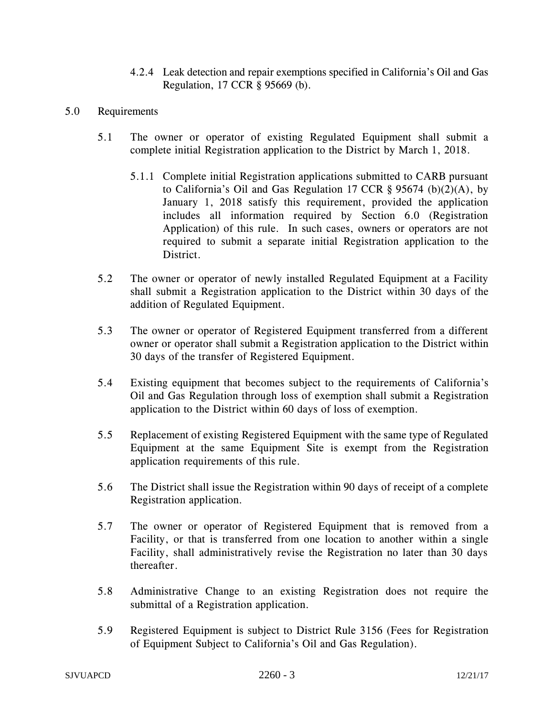- 4.2.4 Leak detection and repair exemptions specified in California's Oil and Gas Regulation, 17 CCR § 95669 (b).
- 5.0 Requirements
	- 5.1 The owner or operator of existing Regulated Equipment shall submit a complete initial Registration application to the District by March 1, 2018.
		- 5.1.1 Complete initial Registration applications submitted to CARB pursuant to California's Oil and Gas Regulation 17 CCR  $\S$  95674 (b)(2)(A), by January 1, 2018 satisfy this requirement, provided the application includes all information required by Section 6.0 (Registration Application) of this rule. In such cases, owners or operators are not required to submit a separate initial Registration application to the District.
	- 5.2 The owner or operator of newly installed Regulated Equipment at a Facility shall submit a Registration application to the District within 30 days of the addition of Regulated Equipment.
	- 5.3 The owner or operator of Registered Equipment transferred from a different owner or operator shall submit a Registration application to the District within 30 days of the transfer of Registered Equipment.
	- 5.4 Existing equipment that becomes subject to the requirements of California's Oil and Gas Regulation through loss of exemption shall submit a Registration application to the District within 60 days of loss of exemption.
	- 5.5 Replacement of existing Registered Equipment with the same type of Regulated Equipment at the same Equipment Site is exempt from the Registration application requirements of this rule.
	- 5.6 The District shall issue the Registration within 90 days of receipt of a complete Registration application.
	- 5.7 The owner or operator of Registered Equipment that is removed from a Facility, or that is transferred from one location to another within a single Facility, shall administratively revise the Registration no later than 30 days thereafter.
	- 5.8 Administrative Change to an existing Registration does not require the submittal of a Registration application.
	- 5.9 Registered Equipment is subject to District Rule 3156 (Fees for Registration of Equipment Subject to California's Oil and Gas Regulation).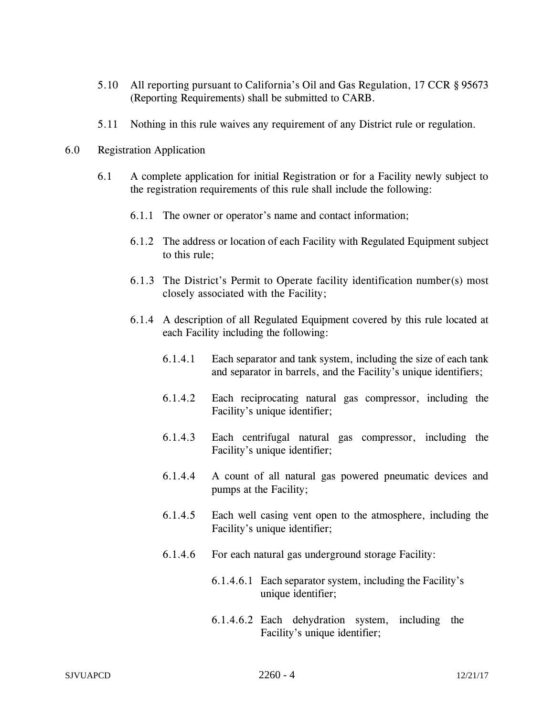- 5.10 All reporting pursuant to California's Oil and Gas Regulation, 17 CCR § 95673 (Reporting Requirements) shall be submitted to CARB.
- 5.11 Nothing in this rule waives any requirement of any District rule or regulation.
- 6.0 Registration Application
	- 6.1 A complete application for initial Registration or for a Facility newly subject to the registration requirements of this rule shall include the following:
		- 6.1.1 The owner or operator's name and contact information;
		- 6.1.2 The address or location of each Facility with Regulated Equipment subject to this rule;
		- 6.1.3 The District's Permit to Operate facility identification number(s) most closely associated with the Facility;
		- 6.1.4 A description of all Regulated Equipment covered by this rule located at each Facility including the following:
			- 6.1.4.1 Each separator and tank system, including the size of each tank and separator in barrels, and the Facility's unique identifiers;
			- 6.1.4.2 Each reciprocating natural gas compressor, including the Facility's unique identifier;
			- 6.1.4.3 Each centrifugal natural gas compressor, including the Facility's unique identifier;
			- 6.1.4.4 A count of all natural gas powered pneumatic devices and pumps at the Facility;
			- 6.1.4.5 Each well casing vent open to the atmosphere, including the Facility's unique identifier;
			- 6.1.4.6 For each natural gas underground storage Facility:
				- 6.1.4.6.1 Each separator system, including the Facility's unique identifier;
				- 6.1.4.6.2 Each dehydration system, including the Facility's unique identifier;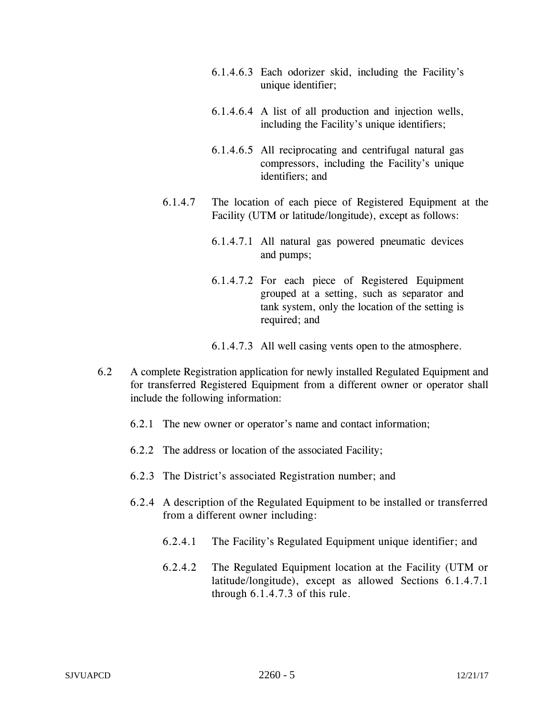- 6.1.4.6.3 Each odorizer skid, including the Facility's unique identifier;
- 6.1.4.6.4 A list of all production and injection wells, including the Facility's unique identifiers;
- 6.1.4.6.5 All reciprocating and centrifugal natural gas compressors, including the Facility's unique identifiers; and
- 6.1.4.7 The location of each piece of Registered Equipment at the Facility (UTM or latitude/longitude), except as follows:
	- 6.1.4.7.1 All natural gas powered pneumatic devices and pumps;
	- 6.1.4.7.2 For each piece of Registered Equipment grouped at a setting, such as separator and tank system, only the location of the setting is required; and
	- 6.1.4.7.3 All well casing vents open to the atmosphere.
- 6.2 A complete Registration application for newly installed Regulated Equipment and for transferred Registered Equipment from a different owner or operator shall include the following information:
	- 6.2.1 The new owner or operator's name and contact information;
	- 6.2.2 The address or location of the associated Facility;
	- 6.2.3 The District's associated Registration number; and
	- 6.2.4 A description of the Regulated Equipment to be installed or transferred from a different owner including:
		- 6.2.4.1 The Facility's Regulated Equipment unique identifier; and
		- 6.2.4.2 The Regulated Equipment location at the Facility (UTM or latitude/longitude), except as allowed Sections 6.1.4.7.1 through 6.1.4.7.3 of this rule.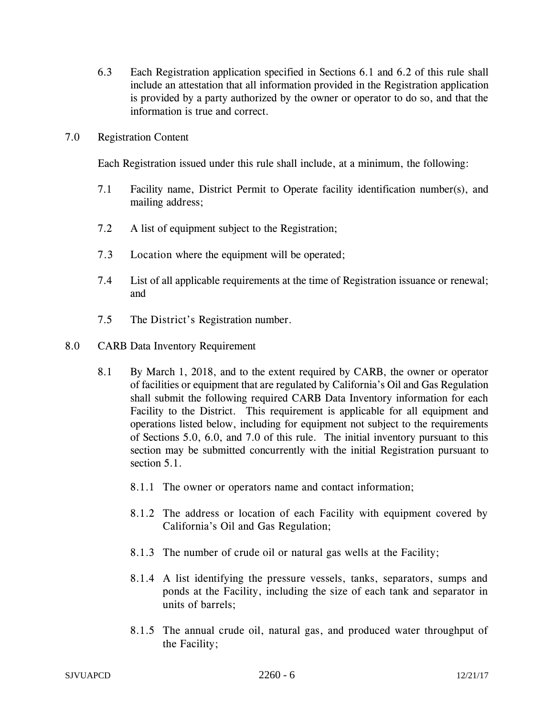- 6.3 Each Registration application specified in Sections 6.1 and 6.2 of this rule shall include an attestation that all information provided in the Registration application is provided by a party authorized by the owner or operator to do so, and that the information is true and correct.
- 7.0 Registration Content

Each Registration issued under this rule shall include, at a minimum, the following:

- 7.1 Facility name, District Permit to Operate facility identification number(s), and mailing address;
- 7.2 A list of equipment subject to the Registration;
- 7.3 Location where the equipment will be operated;
- 7.4 List of all applicable requirements at the time of Registration issuance or renewal; and
- 7.5 The District's Registration number.
- 8.0 CARB Data Inventory Requirement
	- 8.1 By March 1, 2018, and to the extent required by CARB, the owner or operator of facilities or equipment that are regulated by California's Oil and Gas Regulation shall submit the following required CARB Data Inventory information for each Facility to the District. This requirement is applicable for all equipment and operations listed below, including for equipment not subject to the requirements of Sections 5.0, 6.0, and 7.0 of this rule. The initial inventory pursuant to this section may be submitted concurrently with the initial Registration pursuant to section 5.1.
		- 8.1.1 The owner or operators name and contact information;
		- 8.1.2 The address or location of each Facility with equipment covered by California's Oil and Gas Regulation;
		- 8.1.3 The number of crude oil or natural gas wells at the Facility;
		- 8.1.4 A list identifying the pressure vessels, tanks, separators, sumps and ponds at the Facility, including the size of each tank and separator in units of barrels;
		- 8.1.5 The annual crude oil, natural gas, and produced water throughput of the Facility;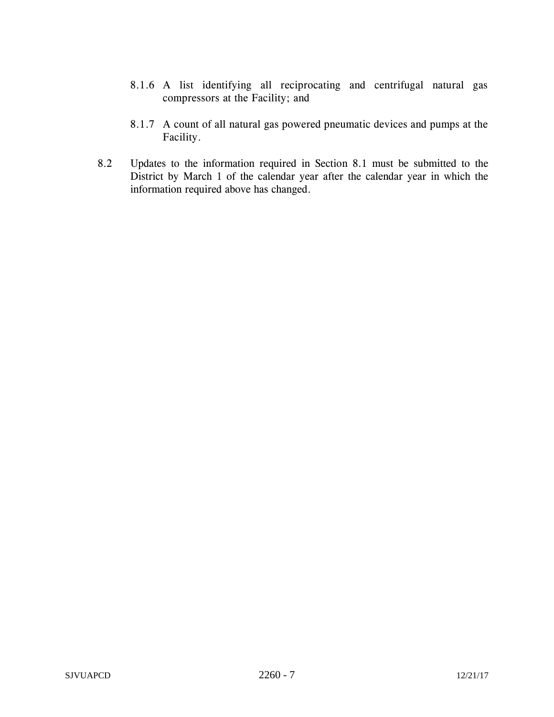- 8.1.6 A list identifying all reciprocating and centrifugal natural gas compressors at the Facility; and
- 8.1.7 A count of all natural gas powered pneumatic devices and pumps at the Facility.
- 8.2 Updates to the information required in Section 8.1 must be submitted to the District by March 1 of the calendar year after the calendar year in which the information required above has changed.